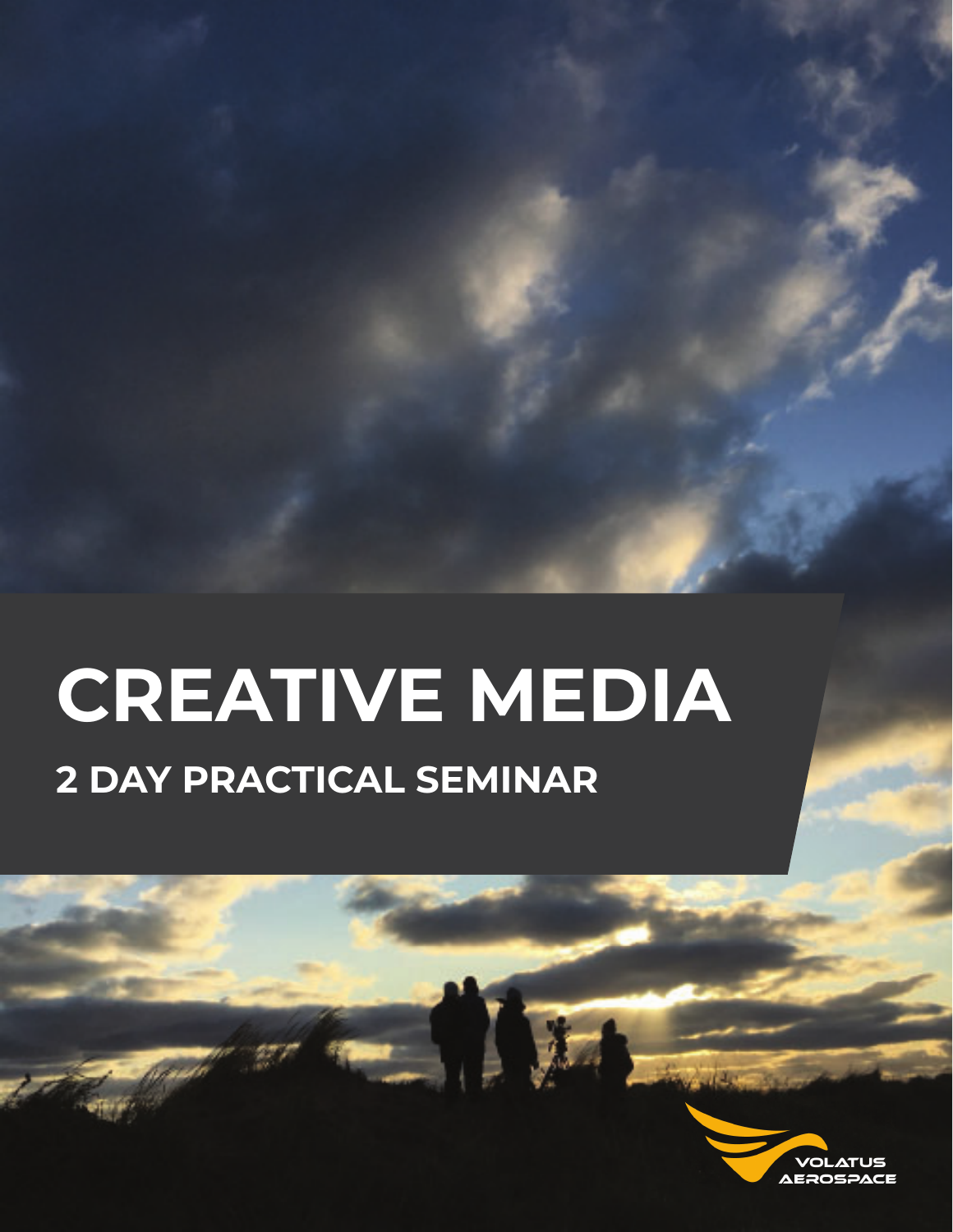# **CREATIVE MEDIA 2 DAY PRACTICAL SEMINAR**

W

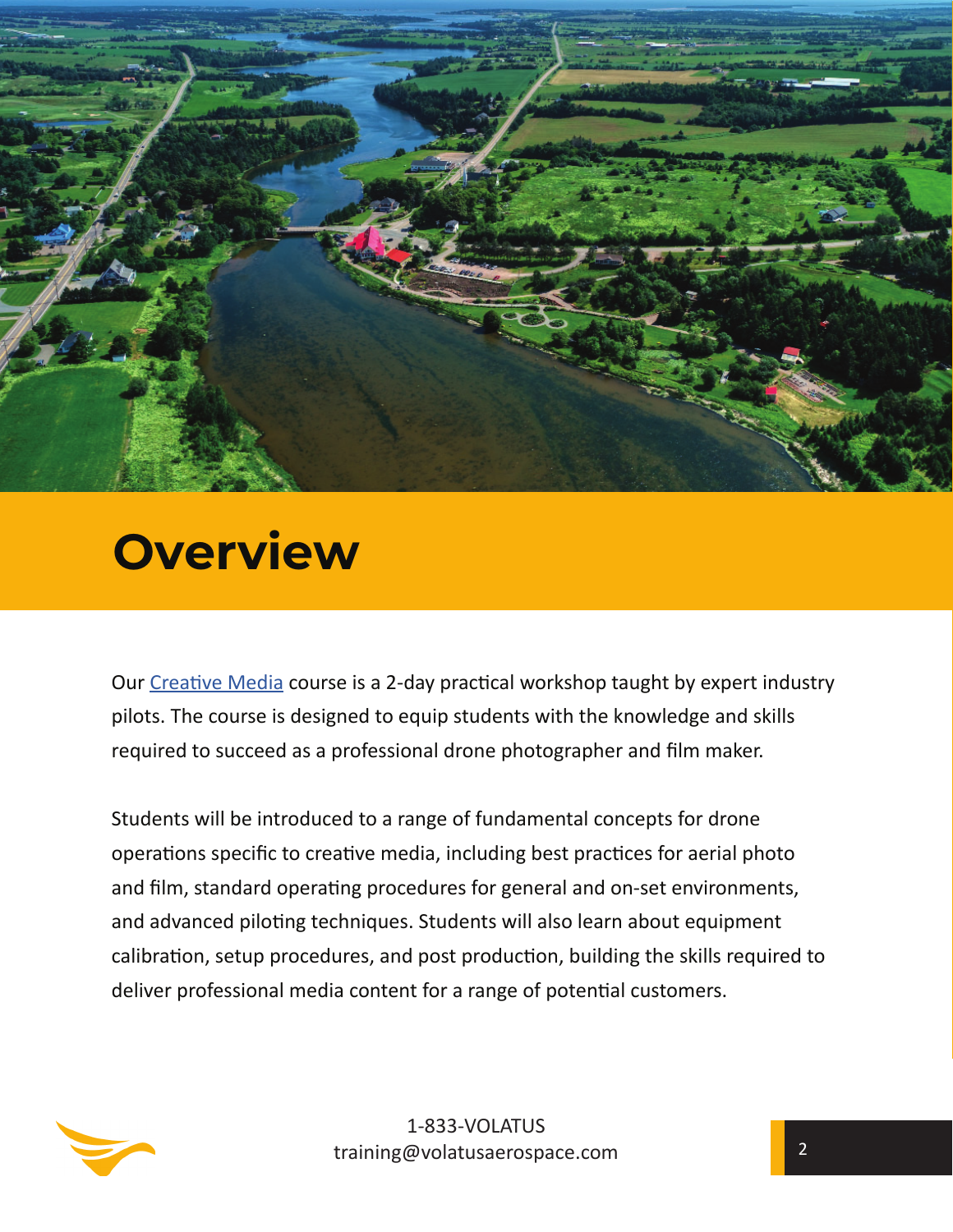

# **Overview**

Our Creative Media course is a 2-day practical workshop taught by expert industry pilots. The course is designed to equip students with the knowledge and skills required to succeed as a professional drone photographer and film maker.

Students will be introduced to a range of fundamental concepts for drone operations specific to creative media, including best practices for aerial photo and film, standard operating procedures for general and on-set environments, and advanced piloting techniques. Students will also learn about equipment calibration, setup procedures, and post production, building the skills required to deliver professional media content for a range of potential customers.

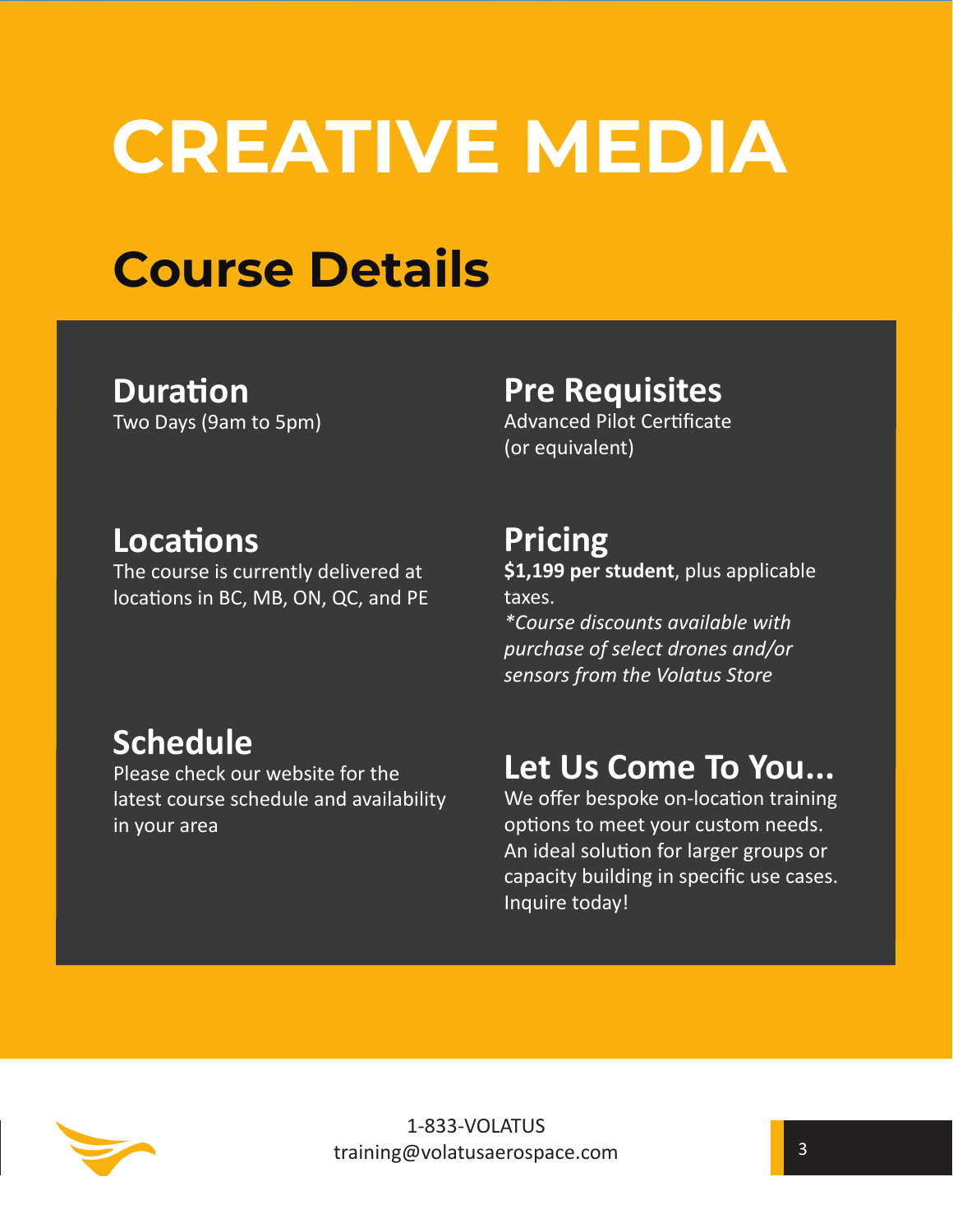# **CREATIVE MEDIA**

# **Course Details**

#### **Duration** Two Days (9am to 5pm)

## **Pre Requisites**

Advanced Pilot Certificate (or equivalent)

## **LocaƟ ons**

The course is currently delivered at locations in BC, MB, ON, QC, and PE

# **Schedule**

Please check our website for the latest course schedule and availability in your area

## **Pricing**

**\$1,199 per student**, plus applicable taxes.

*\*Course discounts available with purchase of select drones and/or sensors from the Volatus Store*

# **Let Us Come To You...**

We offer bespoke on-location training options to meet your custom needs. An ideal solution for larger groups or capacity building in specific use cases. Inquire today!

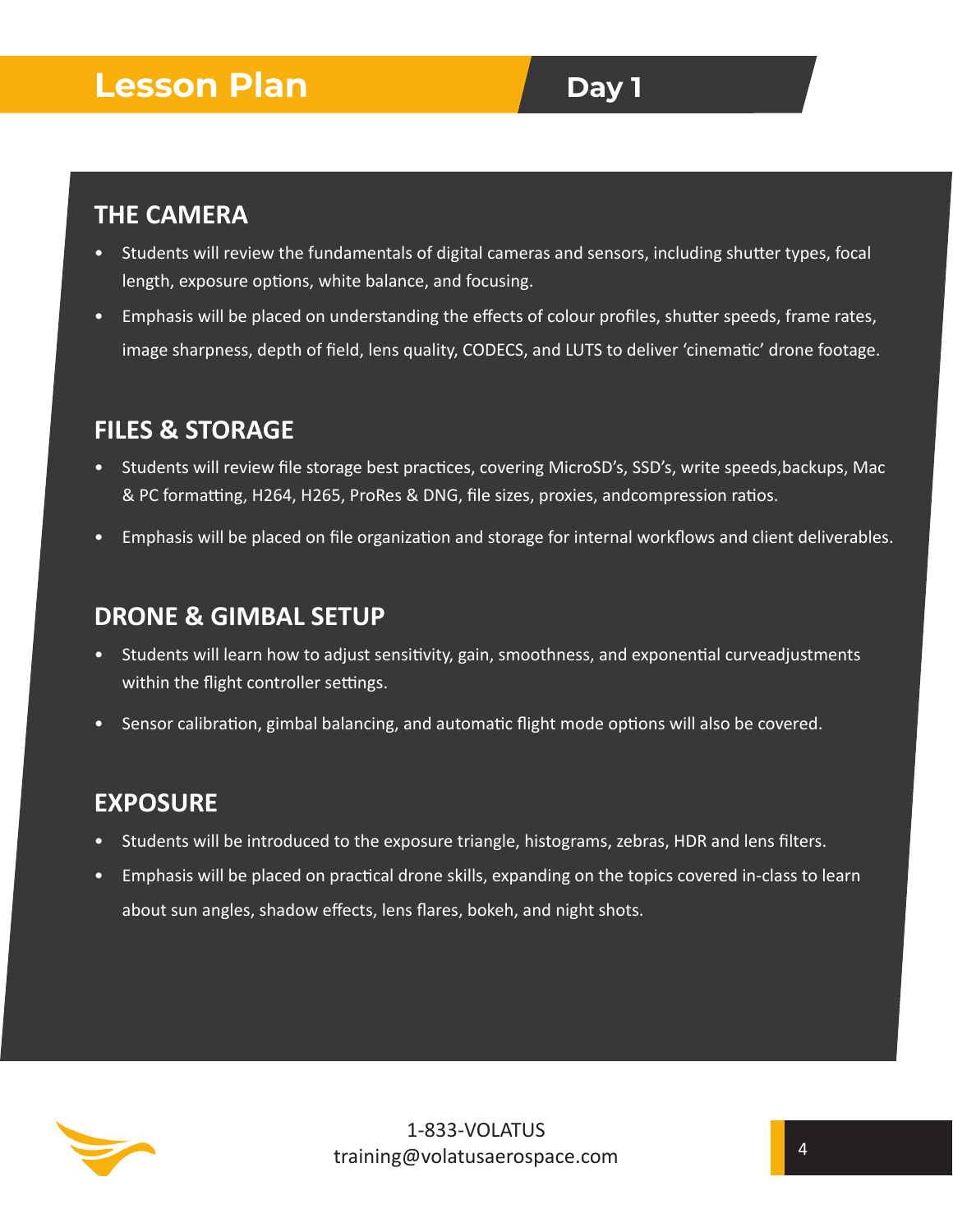## **Lesson Plan Day 1**

#### **THE CAMERA**

- If Students will review the fundamentals of digital cameras and sensors, including shutter types, focal length, exposure options, white balance, and focusing.
- Emphasis will be placed on understanding the effects of colour profiles, shutter speeds, frame rates, image sharpness, depth of field, lens quality, CODECS, and LUTS to deliver 'cinematic' drone footage.

#### **FILES & STORAGE**

- Students will review file storage best practices, covering MicroSD's, SSD's, write speeds,backups, Mac & PC formatting, H264, H265, ProRes & DNG, file sizes, proxies, andcompression ratios.
- Emphasis will be placed on file organization and storage for internal workflows and client deliverables.

#### **DRONE & GIMBAL SETUP**

- Students will learn how to adjust sensitivity, gain, smoothness, and exponential curveadjustments within the flight controller settings.
- Sensor calibration, gimbal balancing, and automatic flight mode options will also be covered.

#### **EXPOSURE**

- Students will be introduced to the exposure triangle, histograms, zebras, HDR and lens filters.
- Emphasis will be placed on practical drone skills, expanding on the topics covered in-class to learn about sun angles, shadow effects, lens flares, bokeh, and night shots.